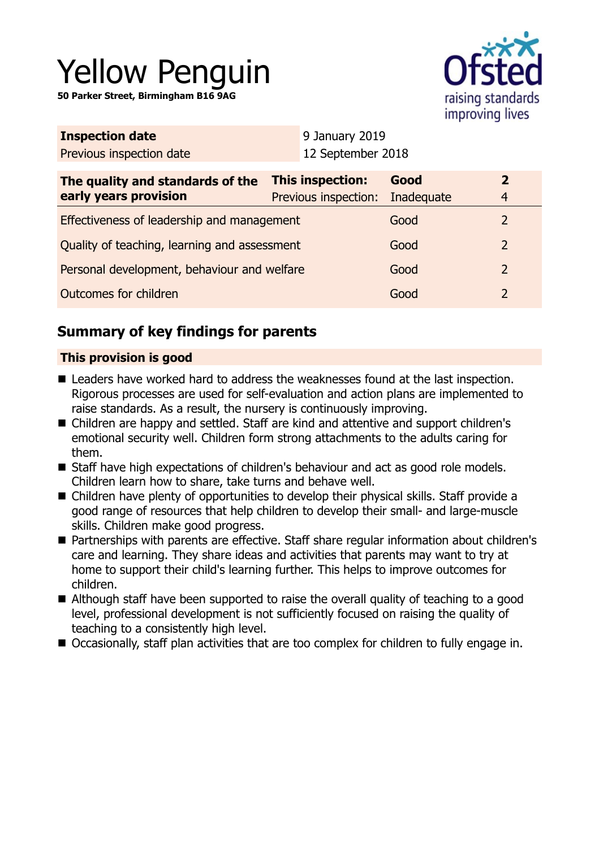# Yellow Penguin

**50 Parker Street, Birmingham B16 9AG**



| <b>Inspection date</b>   | 9 January 2019    |
|--------------------------|-------------------|
| Previous inspection date | 12 September 2018 |
|                          |                   |

| The quality and standards of the<br>early years provision | <b>This inspection:</b><br>Previous inspection: | Good<br>Inadequate | 4             |  |
|-----------------------------------------------------------|-------------------------------------------------|--------------------|---------------|--|
| Effectiveness of leadership and management                |                                                 | Good               |               |  |
| Quality of teaching, learning and assessment              |                                                 | Good               | $\mathcal{L}$ |  |
| Personal development, behaviour and welfare               |                                                 | Good               | $\mathcal{L}$ |  |
| Outcomes for children                                     |                                                 | Good               |               |  |

# **Summary of key findings for parents**

## **This provision is good**

- Leaders have worked hard to address the weaknesses found at the last inspection. Rigorous processes are used for self-evaluation and action plans are implemented to raise standards. As a result, the nursery is continuously improving.
- Children are happy and settled. Staff are kind and attentive and support children's emotional security well. Children form strong attachments to the adults caring for them.
- Staff have high expectations of children's behaviour and act as good role models. Children learn how to share, take turns and behave well.
- Children have plenty of opportunities to develop their physical skills. Staff provide a good range of resources that help children to develop their small- and large-muscle skills. Children make good progress.
- Partnerships with parents are effective. Staff share regular information about children's care and learning. They share ideas and activities that parents may want to try at home to support their child's learning further. This helps to improve outcomes for children.
- $\blacksquare$  Although staff have been supported to raise the overall quality of teaching to a good level, professional development is not sufficiently focused on raising the quality of teaching to a consistently high level.
- Occasionally, staff plan activities that are too complex for children to fully engage in.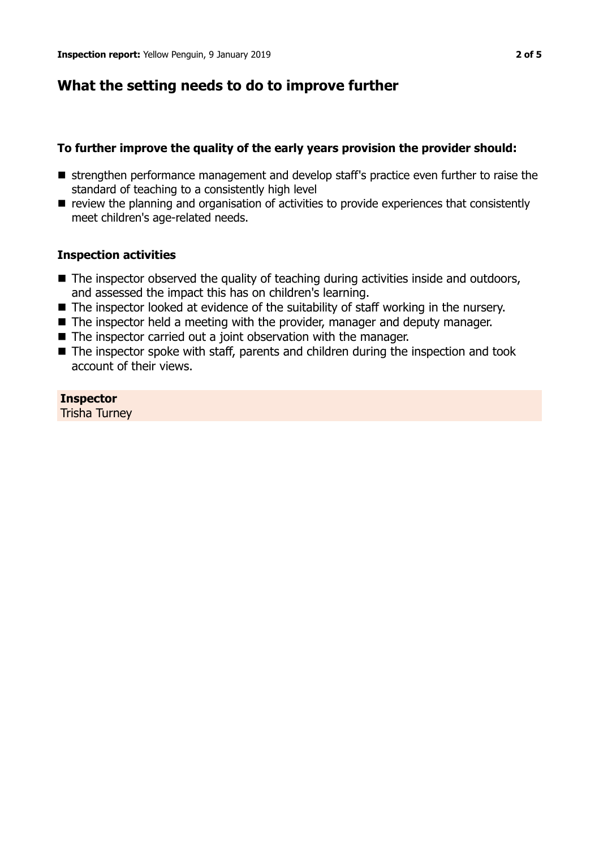## **What the setting needs to do to improve further**

## **To further improve the quality of the early years provision the provider should:**

- strengthen performance management and develop staff's practice even further to raise the standard of teaching to a consistently high level
- $\blacksquare$  review the planning and organisation of activities to provide experiences that consistently meet children's age-related needs.

## **Inspection activities**

- $\blacksquare$  The inspector observed the quality of teaching during activities inside and outdoors, and assessed the impact this has on children's learning.
- $\blacksquare$  The inspector looked at evidence of the suitability of staff working in the nursery.
- The inspector held a meeting with the provider, manager and deputy manager.
- $\blacksquare$  The inspector carried out a joint observation with the manager.
- $\blacksquare$  The inspector spoke with staff, parents and children during the inspection and took account of their views.

### **Inspector**

Trisha Turney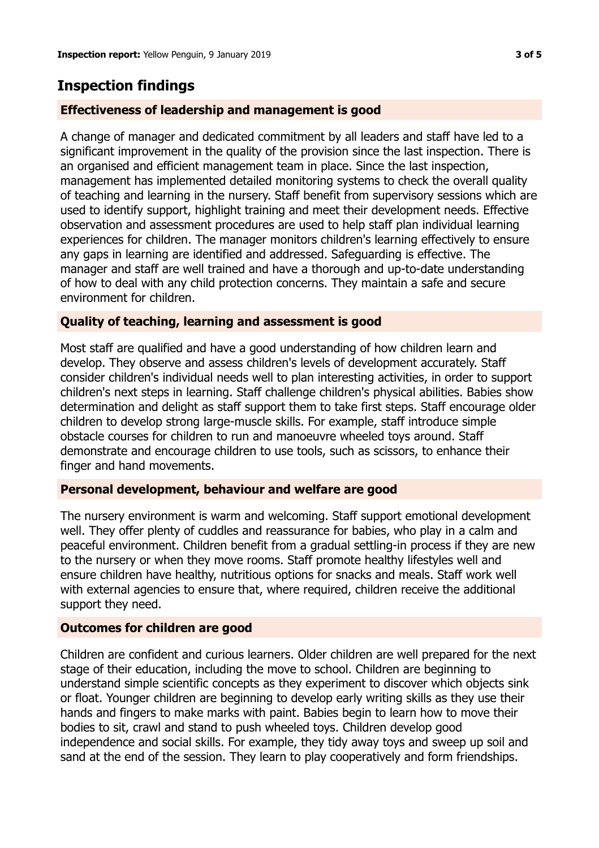# **Inspection findings**

## **Effectiveness of leadership and management is good**

A change of manager and dedicated commitment by all leaders and staff have led to a significant improvement in the quality of the provision since the last inspection. There is an organised and efficient management team in place. Since the last inspection, management has implemented detailed monitoring systems to check the overall quality of teaching and learning in the nursery. Staff benefit from supervisory sessions which are used to identify support, highlight training and meet their development needs. Effective observation and assessment procedures are used to help staff plan individual learning experiences for children. The manager monitors children's learning effectively to ensure any gaps in learning are identified and addressed. Safeguarding is effective. The manager and staff are well trained and have a thorough and up-to-date understanding of how to deal with any child protection concerns. They maintain a safe and secure environment for children.

### **Quality of teaching, learning and assessment is good**

Most staff are qualified and have a good understanding of how children learn and develop. They observe and assess children's levels of development accurately. Staff consider children's individual needs well to plan interesting activities, in order to support children's next steps in learning. Staff challenge children's physical abilities. Babies show determination and delight as staff support them to take first steps. Staff encourage older children to develop strong large-muscle skills. For example, staff introduce simple obstacle courses for children to run and manoeuvre wheeled toys around. Staff demonstrate and encourage children to use tools, such as scissors, to enhance their finger and hand movements.

#### **Personal development, behaviour and welfare are good**

The nursery environment is warm and welcoming. Staff support emotional development well. They offer plenty of cuddles and reassurance for babies, who play in a calm and peaceful environment. Children benefit from a gradual settling-in process if they are new to the nursery or when they move rooms. Staff promote healthy lifestyles well and ensure children have healthy, nutritious options for snacks and meals. Staff work well with external agencies to ensure that, where required, children receive the additional support they need.

#### **Outcomes for children are good**

Children are confident and curious learners. Older children are well prepared for the next stage of their education, including the move to school. Children are beginning to understand simple scientific concepts as they experiment to discover which objects sink or float. Younger children are beginning to develop early writing skills as they use their hands and fingers to make marks with paint. Babies begin to learn how to move their bodies to sit, crawl and stand to push wheeled toys. Children develop good independence and social skills. For example, they tidy away toys and sweep up soil and sand at the end of the session. They learn to play cooperatively and form friendships.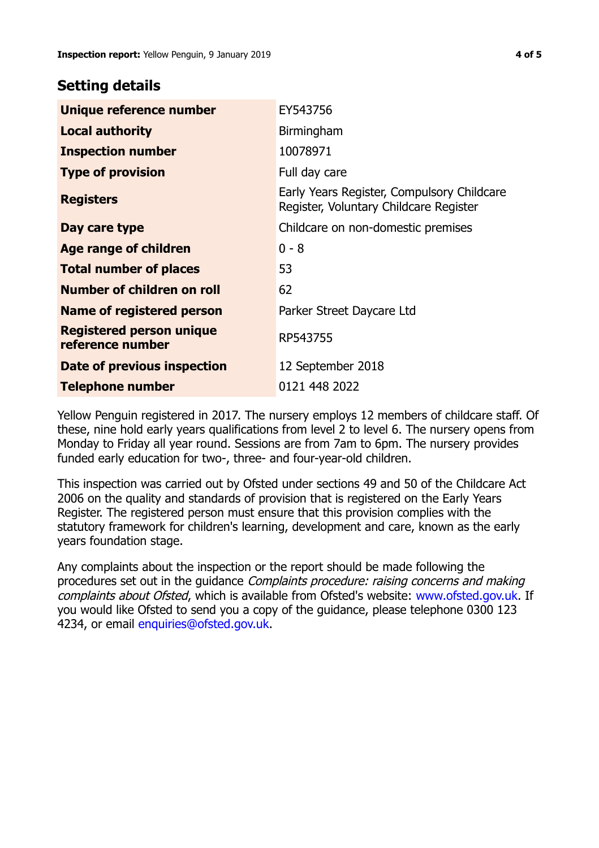## **Setting details**

| Unique reference number                             | EY543756                                                                             |
|-----------------------------------------------------|--------------------------------------------------------------------------------------|
| <b>Local authority</b>                              | Birmingham                                                                           |
| <b>Inspection number</b>                            | 10078971                                                                             |
| <b>Type of provision</b>                            | Full day care                                                                        |
| <b>Registers</b>                                    | Early Years Register, Compulsory Childcare<br>Register, Voluntary Childcare Register |
| Day care type                                       | Childcare on non-domestic premises                                                   |
| <b>Age range of children</b>                        | $0 - 8$                                                                              |
| <b>Total number of places</b>                       | 53                                                                                   |
| Number of children on roll                          | 62                                                                                   |
| Name of registered person                           | Parker Street Daycare Ltd                                                            |
| <b>Registered person unique</b><br>reference number | RP543755                                                                             |
| Date of previous inspection                         | 12 September 2018                                                                    |
| Telephone number                                    | 0121 448 2022                                                                        |

Yellow Penguin registered in 2017. The nursery employs 12 members of childcare staff. Of these, nine hold early years qualifications from level 2 to level 6. The nursery opens from Monday to Friday all year round. Sessions are from 7am to 6pm. The nursery provides funded early education for two-, three- and four-year-old children.

This inspection was carried out by Ofsted under sections 49 and 50 of the Childcare Act 2006 on the quality and standards of provision that is registered on the Early Years Register. The registered person must ensure that this provision complies with the statutory framework for children's learning, development and care, known as the early years foundation stage.

Any complaints about the inspection or the report should be made following the procedures set out in the quidance *Complaints procedure: raising concerns and making* complaints about Ofsted, which is available from Ofsted's website: www.ofsted.gov.uk. If you would like Ofsted to send you a copy of the guidance, please telephone 0300 123 4234, or email [enquiries@ofsted.gov.uk.](mailto:enquiries@ofsted.gov.uk)